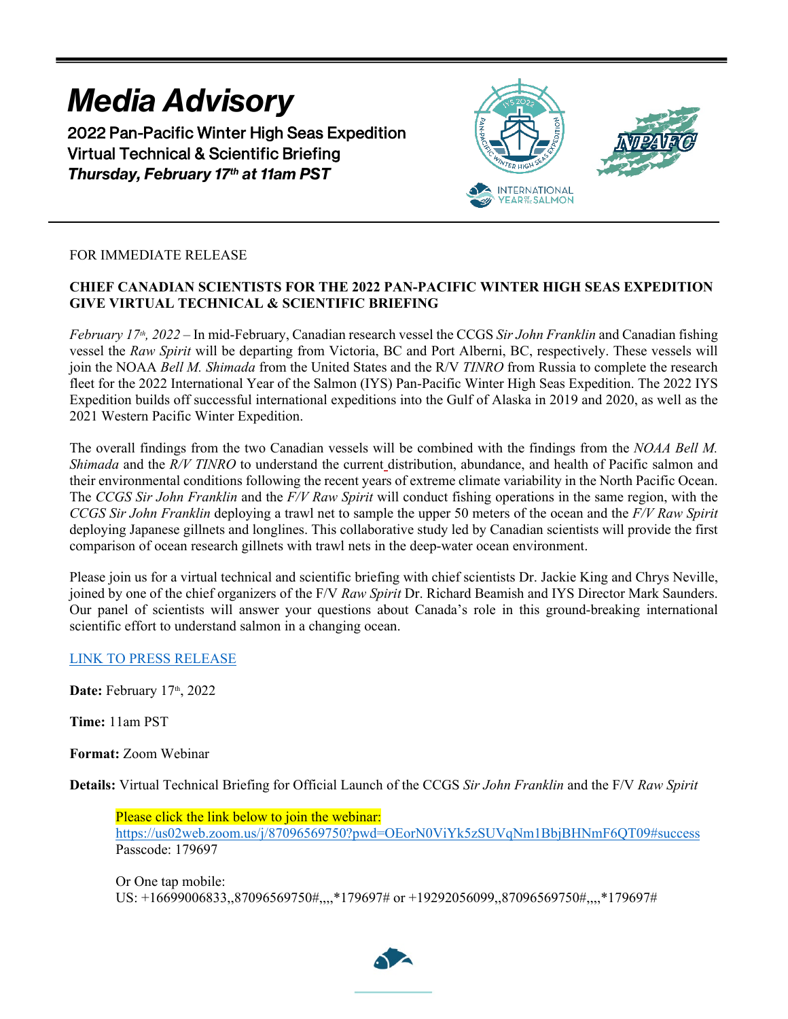# *Media Advisory* 2022 Pan-Pacific Winter High Seas Expedition Virtual Technical & Scientific Briefing *Thursday, February 17th at 11am PST*



## FOR IMMEDIATE RELEASE

### **CHIEF CANADIAN SCIENTISTS FOR THE 2022 PAN-PACIFIC WINTER HIGH SEAS EXPEDITION GIVE VIRTUAL TECHNICAL & SCIENTIFIC BRIEFING**

*February 17th, 2022 –* In mid-February, Canadian research vessel the CCGS *Sir John Franklin* and Canadian fishing vessel the *Raw Spirit* will be departing from Victoria, BC and Port Alberni, BC, respectively. These vessels will join the NOAA *Bell M. Shimada* from the United States and the R/V *TINRO* from Russia to complete the research fleet for the 2022 International Year of the Salmon (IYS) Pan-Pacific Winter High Seas Expedition. The 2022 IYS Expedition builds off successful international expeditions into the Gulf of Alaska in 2019 and 2020, as well as the 2021 Western Pacific Winter Expedition.

The overall findings from the two Canadian vessels will be combined with the findings from the *NOAA Bell M. Shimada* and the *R/V TINRO* to understand the current distribution, abundance, and health of Pacific salmon and their environmental conditions following the recent years of extreme climate variability in the North Pacific Ocean. The *CCGS Sir John Franklin* and the *F/V Raw Spirit* will conduct fishing operations in the same region, with the *CCGS Sir John Franklin* deploying a trawl net to sample the upper 50 meters of the ocean and the *F/V Raw Spirit* deploying Japanese gillnets and longlines. This collaborative study led by Canadian scientists will provide the first comparison of ocean research gillnets with trawl nets in the deep-water ocean environment.

Please join us for a virtual technical and scientific briefing with chief scientists Dr. Jackie King and Chrys Neville, joined by one of the chief organizers of the F/V *Raw Spirit* Dr. Richard Beamish and IYS Director Mark Saunders. Our panel of scientists will answer your questions about Canada's role in this ground-breaking international scientific effort to understand salmon in a changing ocean.

#### [LINK TO PRESS RELEASE](https://yearofthesalmon.org/wp-content/uploads/2022/02/2022-Franklin-Raw-Spirit-Press-Release-FINAL.pdf)

Date: February 17th, 2022

**Time:** 11am PST

**Format:** Zoom Webinar

**Details:** Virtual Technical Briefing for Official Launch of the CCGS *Sir John Franklin* and the F/V *Raw Spirit*

Please click the link below to join the webinar: <https://us02web.zoom.us/j/87096569750?pwd=OEorN0ViYk5zSUVqNm1BbjBHNmF6QT09#success> Passcode: 179697

Or One tap mobile: US: +16699006833,,87096569750#,,,,\*179697# or +19292056099,,87096569750#,,,,\*179697#

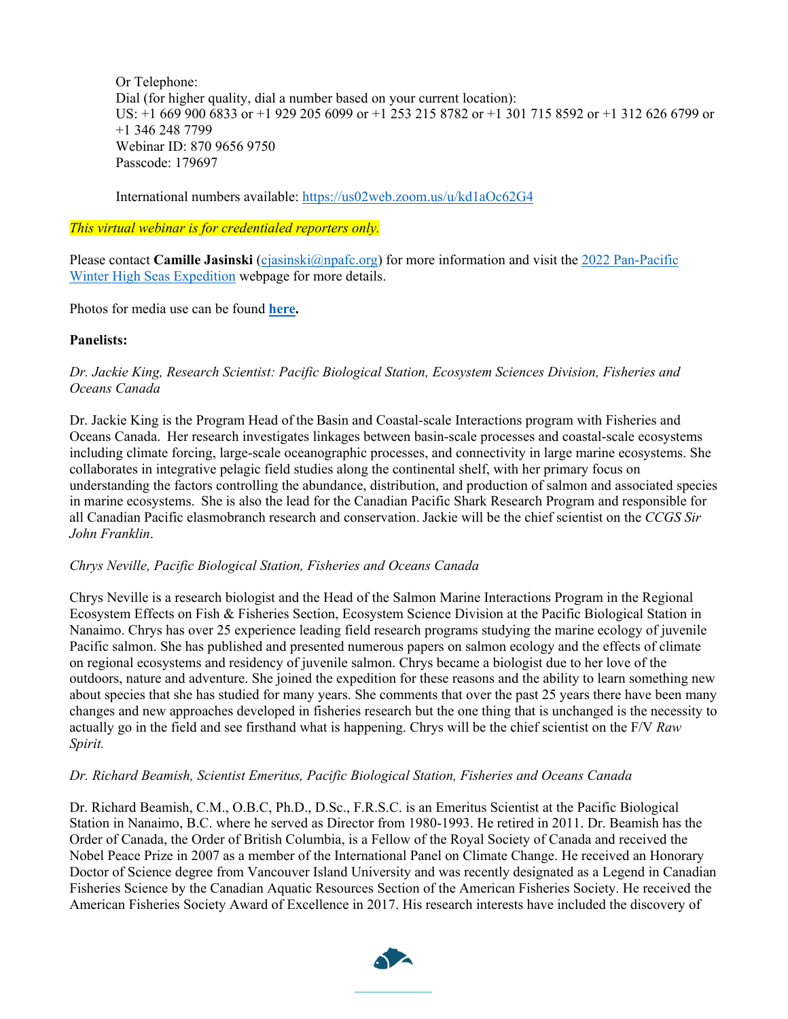Or Telephone: Dial (for higher quality, dial a number based on your current location): US: +1 669 900 6833 or +1 929 205 6099 or +1 253 215 8782 or +1 301 715 8592 or +1 312 626 6799 or +1 346 248 7799 Webinar ID: 870 9656 9750 Passcode: 179697

International numbers available:<https://us02web.zoom.us/u/kd1aOc62G4>

*This virtual webinar is for credentialed reporters only.*

Please contact **Camille Jasinski** [\(cjasinski@npafc.org\)](mailto:cjasinski@npafc.org) for more information and visit the 2022 Pan-Pacific Winter High [Seas Expedition](https://yearofthesalmon.org/2022expedition/) webpage for more details.

Photos for media use can be found **[here.](https://www.flickr.com/photos/145318619@N06/albums/72177720296738774)**

#### **Panelists:**

#### *Dr. Jackie King, [Research Scientist: Pacific Biological Station, Ecosystem Sciences Division, Fisheries and](https://yearofthesalmon.org/2022expedition/)  [Oceans Canada](https://yearofthesalmon.org/2022expedition/)*

Dr. Jackie King is the Program Head of the Basin and Coastal-scale Interactions program with Fisheries and Oceans Canada.  Her research investigates linkages between basin-scale processes and coastal-scale ecosystems including climate forcing, large-scale oceanographic processes, and connectivity in large marine ecosystems. She collaborates in integrative pelagic field studies along the continental shelf, with her primary focus on understanding the factors controlling the abundance, distribution, and production of salmon and associated species in marine ecosystems.  She is also the lead for the Canadian Pacific Shark Research Program and responsible for all Canadian Pacific elasmobranch research and conservation. Jackie will be the chief scientist on the *CCGS Sir John Franklin*.

#### *Chrys Neville, Pacific Biological Station, Fisheries and Oceans Canada*

Chrys Neville is a research biologist and the Head of the Salmon Marine Interactions Program in the Regional Ecosystem Effects on Fish & Fisheries Section, Ecosystem Science Division at the Pacific Biological Station in Nanaimo. Chrys has over 25 experience leading field research programs studying the marine ecology of juvenile Pacific salmon. She has published and presented numerous papers on salmon ecology and the effects of climate on regional ecosystems and residency of juvenile salmon. Chrys became a biologist due to her love of the outdoors, nature and adventure. She joined the expedition for these reasons and the ability to learn something new about species that she has studied for many years. She comments that over the past 25 years there have been many changes and new approaches developed in fisheries research but the one thing that is unchanged is the necessity to actually go in the field and see firsthand what is happening. Chrys will be the chief scientist on the F/V *Raw Spirit.*

#### *Dr. Richard Beamish, [Scientist Emeritus, Pacific Biological Station, Fisheries and Oceans Canada](https://yearofthesalmon.org/2022expedition/)*

Dr. Richard Beamish, C.M., O.B.C, Ph.D., D.Sc., F.R.S.C. is an Emeritus Scientist at the Pacific Biological Station in Nanaimo, B.C. where he served as Director from 1980-1993. He retired in 2011. Dr. Beamish has the Order of Canada, the Order of British Columbia, is a Fellow of the Royal Society of Canada and received the Nobel Peace Prize in 2007 as a member of the International Panel on Climate Change. He received an Honorary Doctor of Science degree from Vancouver Island University and was recently designated as a Legend in Canadian Fisheries Science by the Canadian Aquatic Resources Section of the American Fisheries Society. He received the American Fisheries Society Award of Excellence in 2017. His research interests have included the discovery of